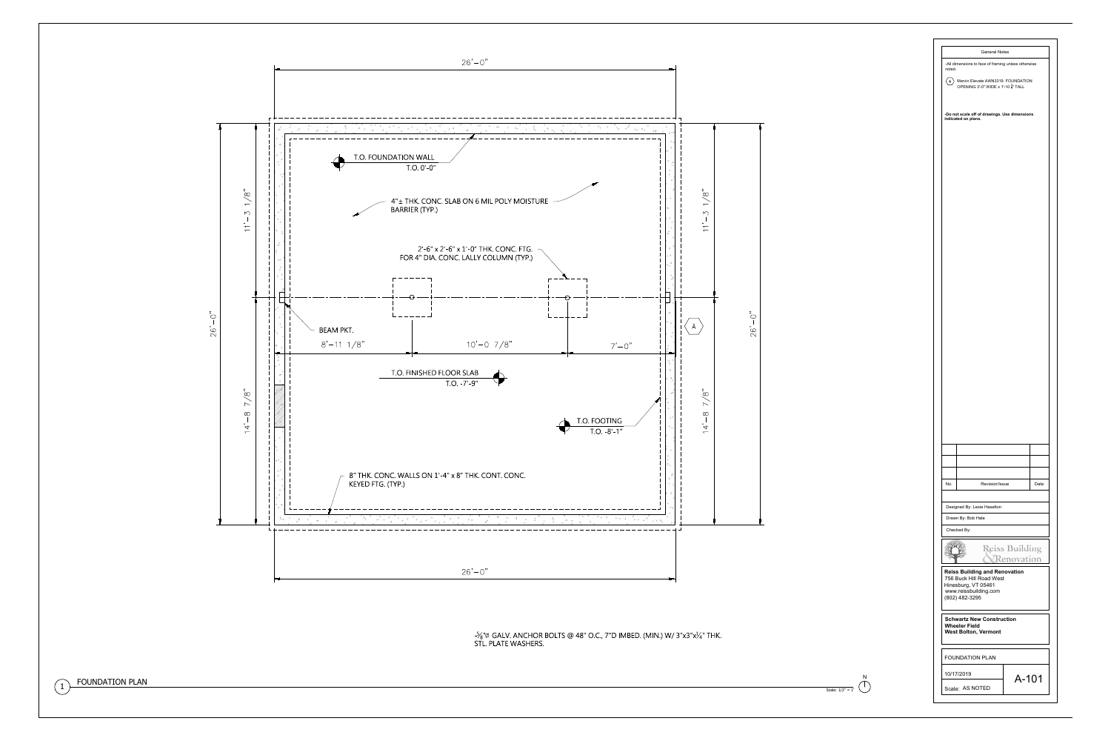



|                     |                                                                                           | <b>General Notes</b> |                |      |
|---------------------|-------------------------------------------------------------------------------------------|----------------------|----------------|------|
| noted.              | -All dimensions to face of framing unless otherwise                                       |                      |                |      |
| $\langle A \rangle$ | Marvin Elevate AWN3319. FOUNDATION<br>OPENING 3'-0" WIDE x 1'-10 $\frac{5}{8}$ " TALL     |                      |                |      |
|                     | -Do not scale off of drawings. Use dimensions<br>indicated on plans.                      |                      |                |      |
|                     |                                                                                           |                      |                |      |
|                     |                                                                                           |                      |                |      |
|                     |                                                                                           |                      |                |      |
|                     |                                                                                           |                      |                |      |
|                     |                                                                                           |                      |                |      |
|                     |                                                                                           |                      |                |      |
|                     |                                                                                           |                      |                |      |
|                     |                                                                                           |                      |                |      |
|                     |                                                                                           |                      |                |      |
|                     |                                                                                           |                      |                |      |
|                     |                                                                                           |                      |                |      |
|                     |                                                                                           |                      |                |      |
|                     |                                                                                           |                      |                |      |
|                     |                                                                                           |                      |                |      |
|                     |                                                                                           |                      |                |      |
|                     |                                                                                           |                      |                |      |
|                     |                                                                                           |                      |                |      |
|                     |                                                                                           |                      |                |      |
|                     |                                                                                           |                      |                |      |
|                     |                                                                                           |                      |                |      |
|                     |                                                                                           |                      |                |      |
|                     |                                                                                           |                      |                |      |
|                     |                                                                                           |                      |                |      |
| No.                 |                                                                                           | Revision/Issue       |                | Date |
|                     |                                                                                           |                      |                |      |
|                     | Designed By: Lexie Haselton<br>Drawn By: Bob Hale                                         |                      |                |      |
|                     | Checked By:                                                                               |                      |                |      |
|                     |                                                                                           |                      | Reiss Building |      |
|                     | <b>Reiss Building and Renovation</b>                                                      |                      | Renovation     |      |
|                     | 756 Buck Hill Road West<br>Hinesburg, VT 05461<br>www.reissbuilding.com<br>(802) 482-3295 |                      |                |      |
|                     | <b>Schwartz New Construction</b><br><b>Wheeler Field</b><br><b>West Bolton, Vermont</b>   |                      |                |      |
|                     | <b>FOUNDATION PLAN</b>                                                                    |                      |                |      |
|                     | 10/17/2019                                                                                |                      | A-101          |      |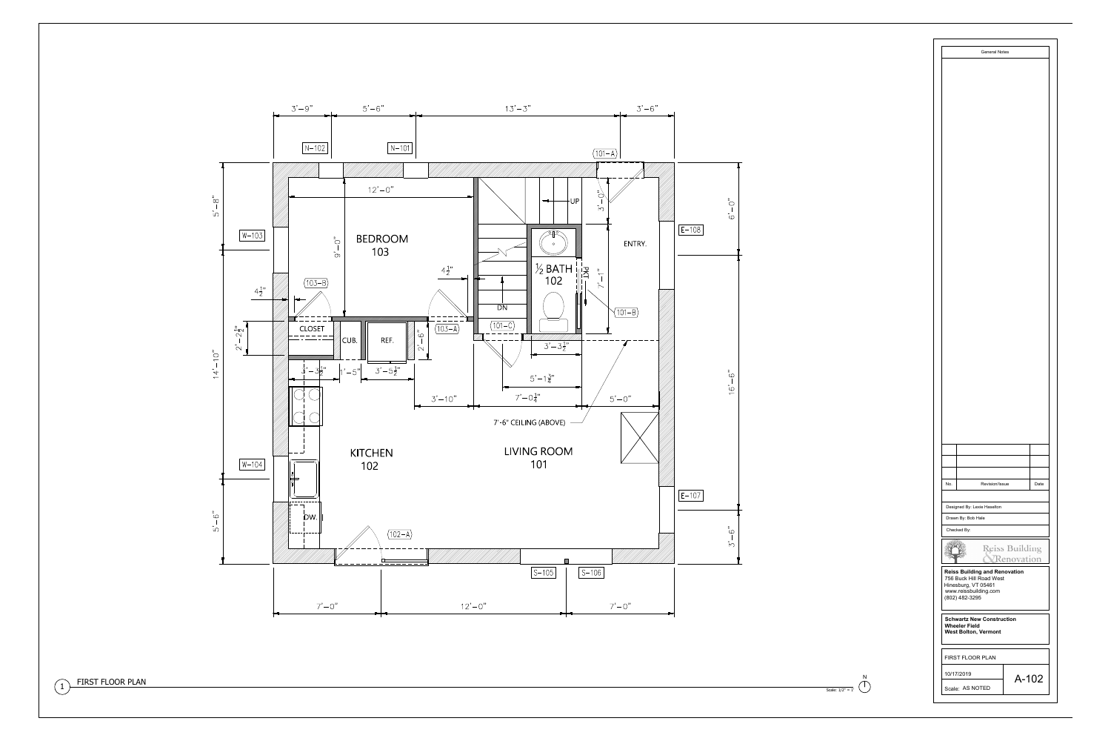





| No.                                                                                                                               | Revision/Issue                                    |  |                              | Date  |  |  |
|-----------------------------------------------------------------------------------------------------------------------------------|---------------------------------------------------|--|------------------------------|-------|--|--|
|                                                                                                                                   |                                                   |  |                              |       |  |  |
|                                                                                                                                   | Designed By: Lexie Haselton<br>Drawn By: Bob Hale |  |                              |       |  |  |
|                                                                                                                                   | Checked By:                                       |  |                              |       |  |  |
|                                                                                                                                   |                                                   |  | Reiss Building<br>enovation) |       |  |  |
| <b>Reiss Building and Renovation</b><br>756 Buck Hill Road West<br>Hinesburg, VT 05461<br>www.reissbuilding.com<br>(802) 482-3295 |                                                   |  |                              |       |  |  |
| <b>Schwartz New Construction</b><br><b>Wheeler Field</b><br><b>West Bolton, Vermont</b>                                           |                                                   |  |                              |       |  |  |
|                                                                                                                                   | <b>FIRST FLOOR PLAN</b>                           |  |                              |       |  |  |
|                                                                                                                                   | 10/17/2019                                        |  |                              |       |  |  |
|                                                                                                                                   |                                                   |  |                              | A-102 |  |  |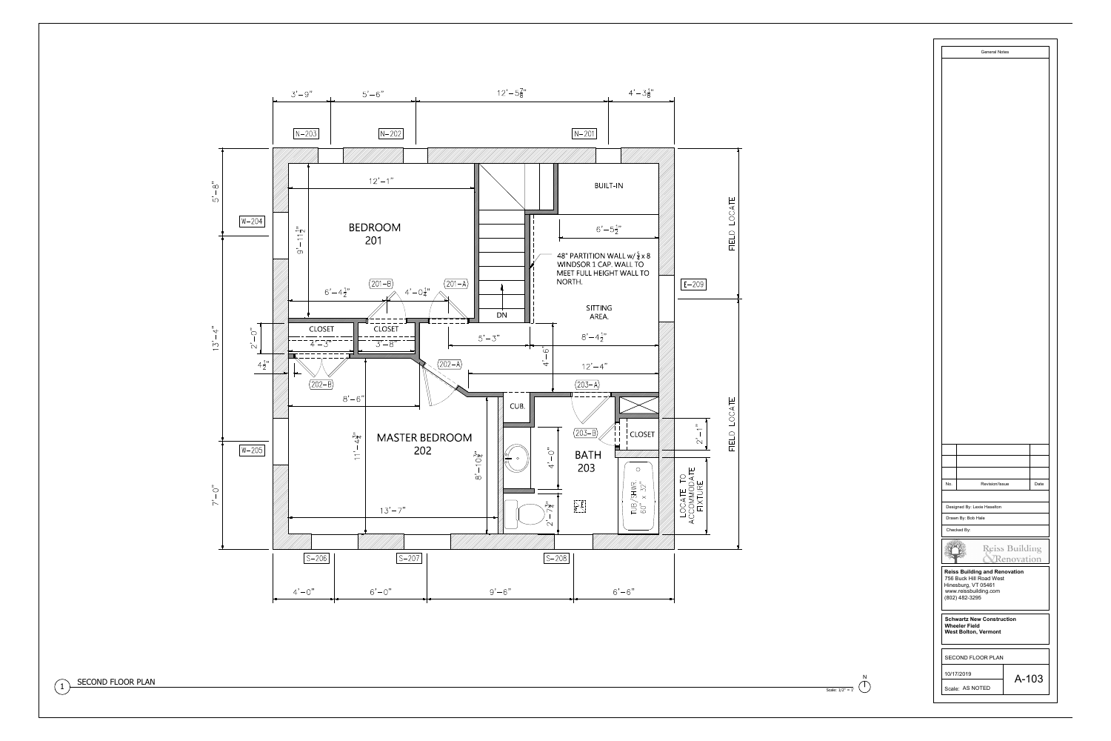





| No.<br>Revision/Issue<br>Date                                                                                                     |  |  |  |  |  |  |  |
|-----------------------------------------------------------------------------------------------------------------------------------|--|--|--|--|--|--|--|
| Designed By: Lexie Haselton                                                                                                       |  |  |  |  |  |  |  |
| Drawn By: Bob Hale                                                                                                                |  |  |  |  |  |  |  |
| Checked By:                                                                                                                       |  |  |  |  |  |  |  |
| Reiss Building<br><b>denovation</b>                                                                                               |  |  |  |  |  |  |  |
| <b>Reiss Building and Renovation</b><br>756 Buck Hill Road West<br>Hinesburg, VT 05461<br>www.reissbuilding.com<br>(802) 482-3295 |  |  |  |  |  |  |  |
| <b>Schwartz New Construction</b><br><b>Wheeler Field</b><br><b>West Bolton, Vermont</b>                                           |  |  |  |  |  |  |  |
| <b>SECOND FLOOR PLAN</b>                                                                                                          |  |  |  |  |  |  |  |
| 10/17/2019<br>A-103                                                                                                               |  |  |  |  |  |  |  |
| Scale: AS NOTED                                                                                                                   |  |  |  |  |  |  |  |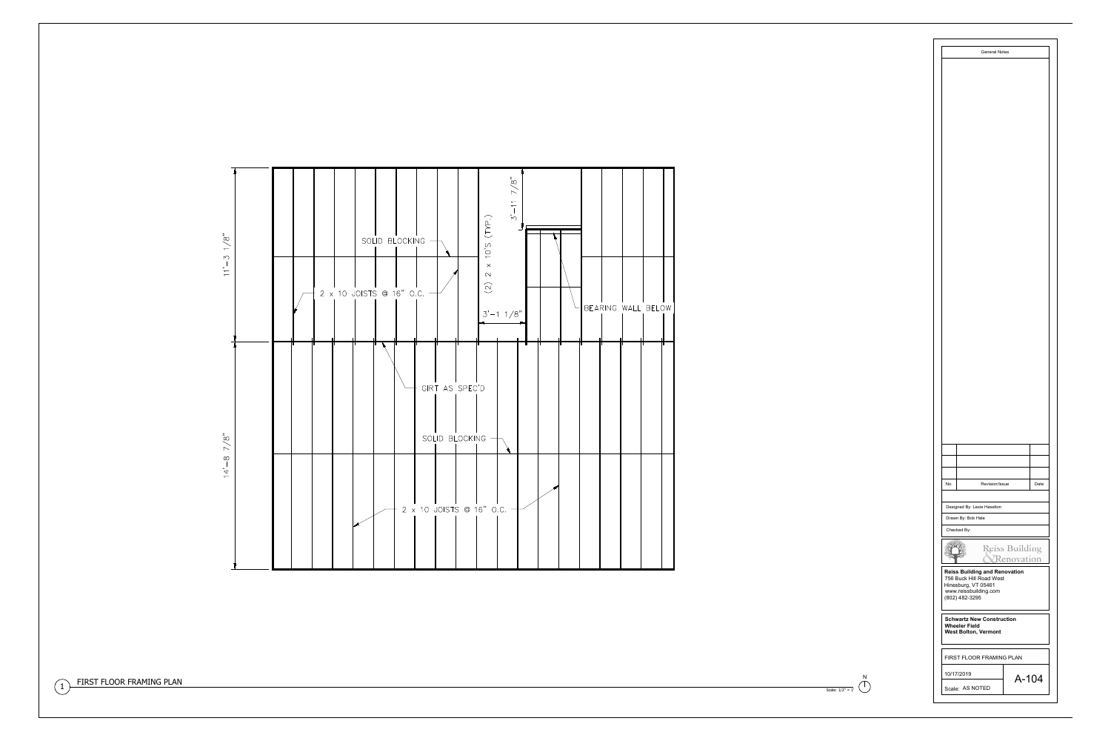

 $\sim$  $\sim$   $\sim$  $M$  $\frac{1}{1-\epsilon}$ 

 $7/8"$ 

 $14' - 8$ 



| No.<br>Revision/Issue<br>Date<br>Designed By: Lexie Haselton<br>Drawn By: Bob Hale<br>Checked By:<br>Reiss Building<br>Renovation<br><b>Reiss Building and Renovation</b><br>756 Buck Hill Road West<br>Hinesburg, VT 05461<br>www.reissbuilding.com<br>(802) 482-3295<br><b>Schwartz New Construction</b><br><b>Wheeler Field</b><br><b>West Bolton, Vermont</b><br><b>FIRST FLOOR FRAMING PLAN</b><br>10/17/2019<br>$A - 104$<br>Scale: AS NOTED |  |  |  |  |  |  |  |  |
|----------------------------------------------------------------------------------------------------------------------------------------------------------------------------------------------------------------------------------------------------------------------------------------------------------------------------------------------------------------------------------------------------------------------------------------------------|--|--|--|--|--|--|--|--|
|                                                                                                                                                                                                                                                                                                                                                                                                                                                    |  |  |  |  |  |  |  |  |
|                                                                                                                                                                                                                                                                                                                                                                                                                                                    |  |  |  |  |  |  |  |  |
|                                                                                                                                                                                                                                                                                                                                                                                                                                                    |  |  |  |  |  |  |  |  |
|                                                                                                                                                                                                                                                                                                                                                                                                                                                    |  |  |  |  |  |  |  |  |
|                                                                                                                                                                                                                                                                                                                                                                                                                                                    |  |  |  |  |  |  |  |  |
|                                                                                                                                                                                                                                                                                                                                                                                                                                                    |  |  |  |  |  |  |  |  |
|                                                                                                                                                                                                                                                                                                                                                                                                                                                    |  |  |  |  |  |  |  |  |
|                                                                                                                                                                                                                                                                                                                                                                                                                                                    |  |  |  |  |  |  |  |  |
|                                                                                                                                                                                                                                                                                                                                                                                                                                                    |  |  |  |  |  |  |  |  |
|                                                                                                                                                                                                                                                                                                                                                                                                                                                    |  |  |  |  |  |  |  |  |
|                                                                                                                                                                                                                                                                                                                                                                                                                                                    |  |  |  |  |  |  |  |  |
|                                                                                                                                                                                                                                                                                                                                                                                                                                                    |  |  |  |  |  |  |  |  |
|                                                                                                                                                                                                                                                                                                                                                                                                                                                    |  |  |  |  |  |  |  |  |
|                                                                                                                                                                                                                                                                                                                                                                                                                                                    |  |  |  |  |  |  |  |  |
|                                                                                                                                                                                                                                                                                                                                                                                                                                                    |  |  |  |  |  |  |  |  |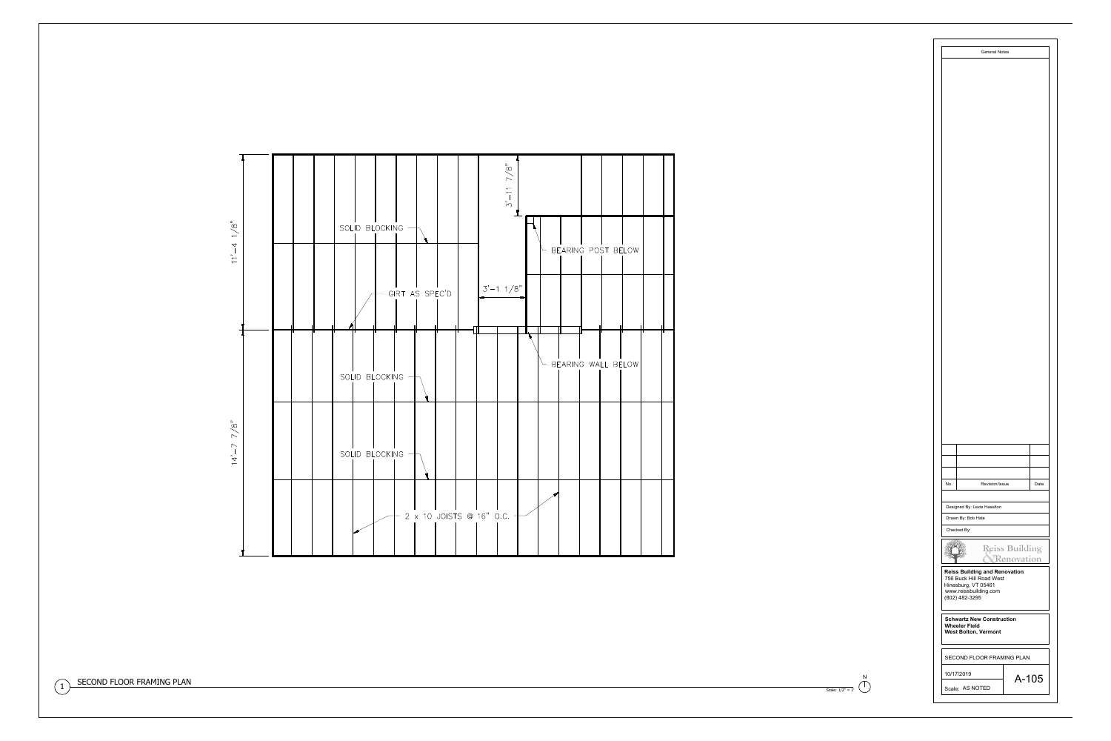





No.<br>
Revision/Issue Date<br>
Date No. Revision/Issue<br>Designed By: Lexie Haselton **Checked By:**<br> **Reiss Building and Renovation**<br> **Reiss Building and Renovation Example: The Solution Section**<br>Reiss Building and Ren<br>756 Buck Hill Road West Re<br>Reiss Building and<br>T56 Buck Hill Road V<br>Hinesburg, VT 05461 Diawit By: Bob Hale<br>Checked By:<br>Checked By:<br>Reiss Building and Re<br>756 Buck Hill Road We<br>Hinesburg, VT 05461<br>www.reissbuilding.com Reiss Building<br>T56 Buck Hill R<br>Hinesburg, VT<br>Www.reissbuild<br>(802) 482-3295 **Reiss Building and Renovat**<br>756 Buck Hill Road West<br>Hinesburg, VT 05461<br>www.reissbuilding.com<br>(802) 482-3295<br>Schwartz New Construction **Theres Bunding<br>756 Buck Hill F<br>Hinesburg, VT<br>www.reissbuild<br>(802) 482-3299<br>Schwartz Nev<br>Wheeler Field Schwartz New Construction<br>Wheeler Field<br>West Bolton, Vermont**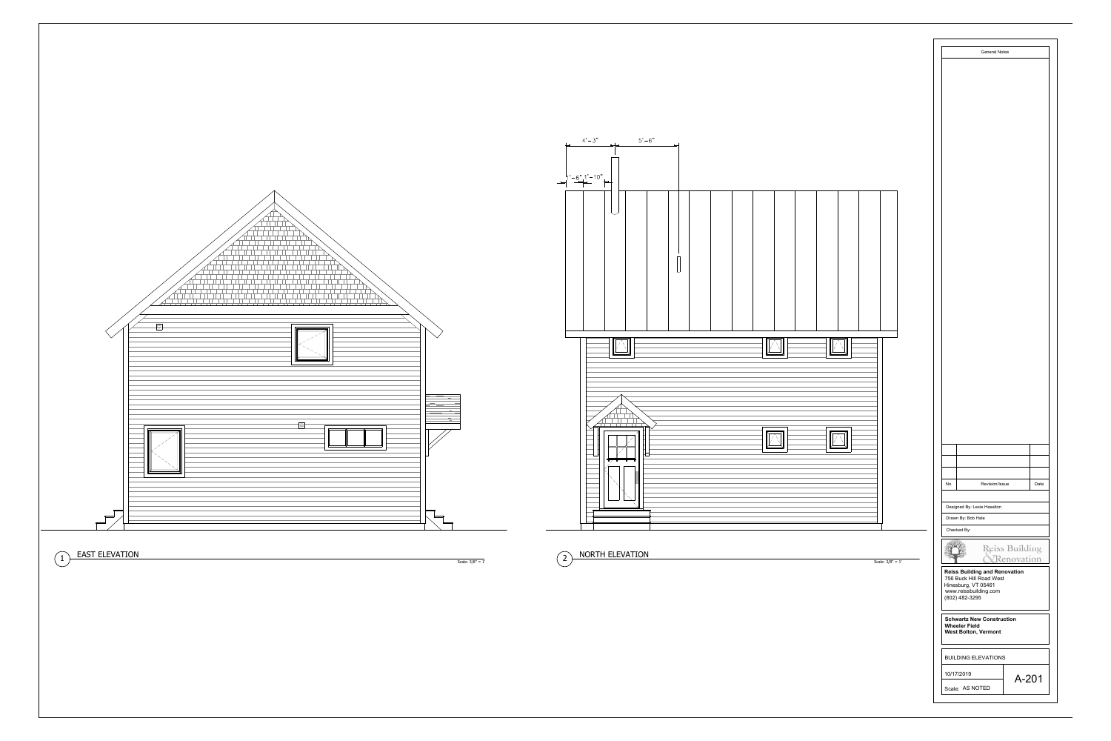

| Scale: $3/8" = 1'$ | Revision/Issue<br>Date<br>No.<br>Designed By: Lexie Haselton<br>Drawn By: Bob Hale<br>Checked By:<br>Reiss Building<br><i><u><b>CRenovation</b></u></i><br><b>Reiss Building and Renovation</b><br>756 Buck Hill Road West<br>Hinesburg, VT 05461<br>www.reissbuilding.com<br>(802) 482-3295 |  |
|--------------------|----------------------------------------------------------------------------------------------------------------------------------------------------------------------------------------------------------------------------------------------------------------------------------------------|--|
|                    | <b>Schwartz New Construction</b><br><b>Wheeler Field</b><br><b>West Bolton, Vermont</b><br><b>BUILDING ELEVATIONS</b><br>10/17/2019<br>A-201<br>Scale: AS NOTED                                                                                                                              |  |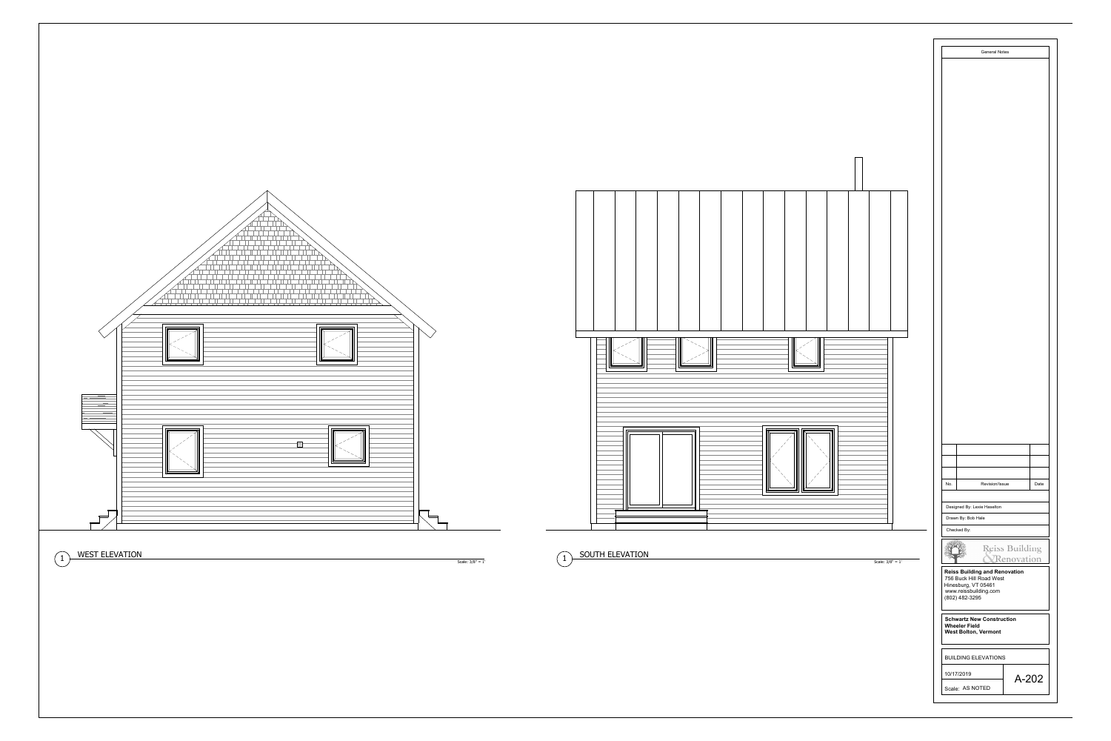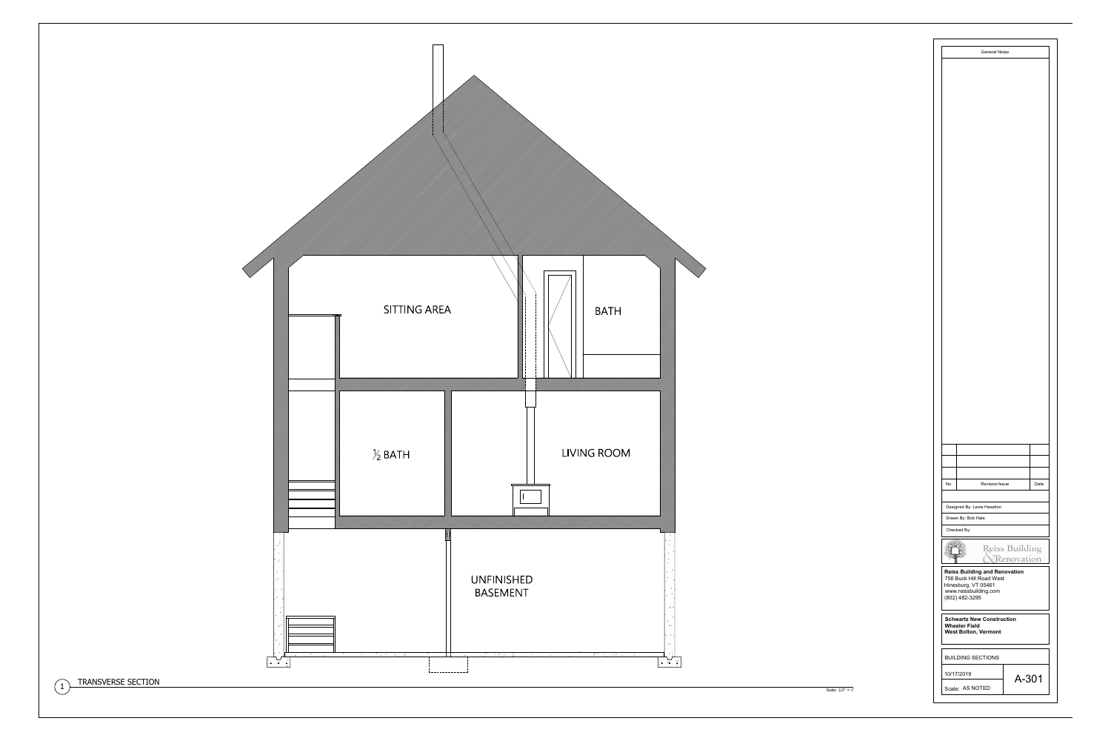



| No.                                                                                                                               | Revision/Issue              |                              | Date |  |  |  |  |  |  |
|-----------------------------------------------------------------------------------------------------------------------------------|-----------------------------|------------------------------|------|--|--|--|--|--|--|
|                                                                                                                                   | Designed By: Lexie Haselton |                              |      |  |  |  |  |  |  |
|                                                                                                                                   | Drawn By: Bob Hale          |                              |      |  |  |  |  |  |  |
|                                                                                                                                   | Checked By:                 |                              |      |  |  |  |  |  |  |
|                                                                                                                                   |                             | Reiss Building<br>enovation) |      |  |  |  |  |  |  |
| <b>Reiss Building and Renovation</b><br>756 Buck Hill Road West<br>Hinesburg, VT 05461<br>www.reissbuilding.com<br>(802) 482-3295 |                             |                              |      |  |  |  |  |  |  |
| <b>Schwartz New Construction</b><br><b>Wheeler Field</b><br><b>West Bolton, Vermont</b>                                           |                             |                              |      |  |  |  |  |  |  |
| <b>BUILDING SECTIONS</b>                                                                                                          |                             |                              |      |  |  |  |  |  |  |
| 10/17/2019                                                                                                                        |                             |                              |      |  |  |  |  |  |  |
| A-301                                                                                                                             |                             |                              |      |  |  |  |  |  |  |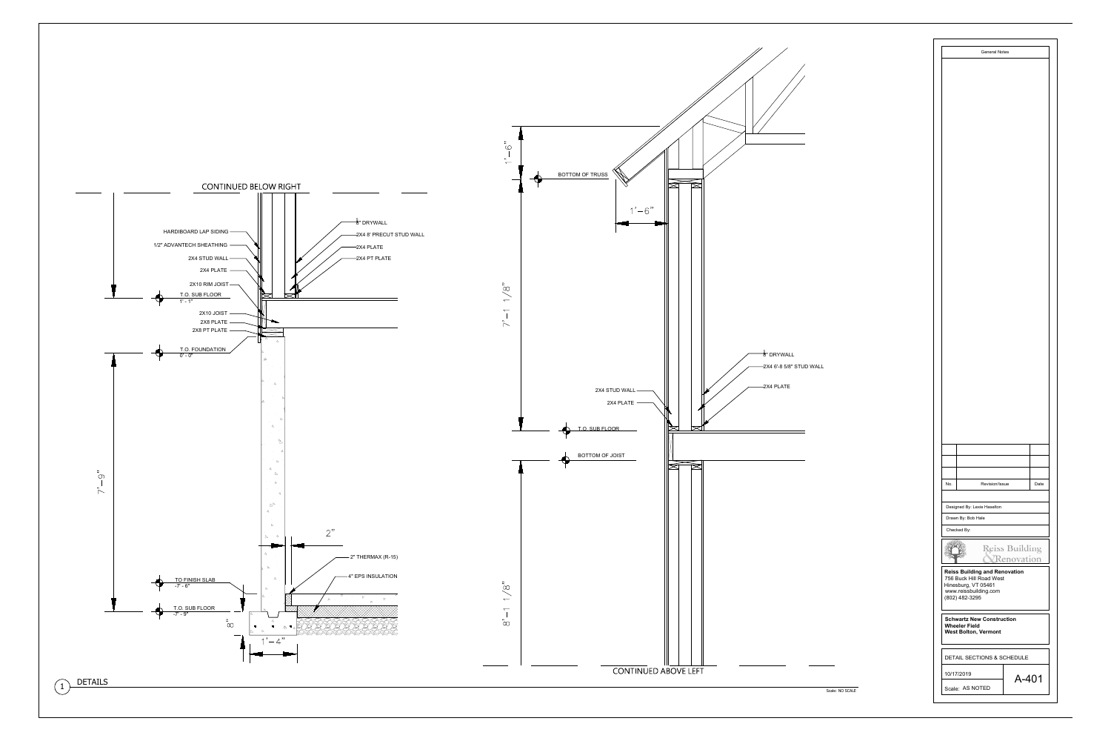



**Reiss Building and Renovation**<br>756 Buck Hill Road West<br>Hinesburg, VT 05461<br>www.reissbuilding.com<br>(802) 482-3295 Hinesburg, VT 05461<br>www.reissbuilding.com

**Schwartz New Construction<br>Wheeler Field<br>West Bolton, Vermont**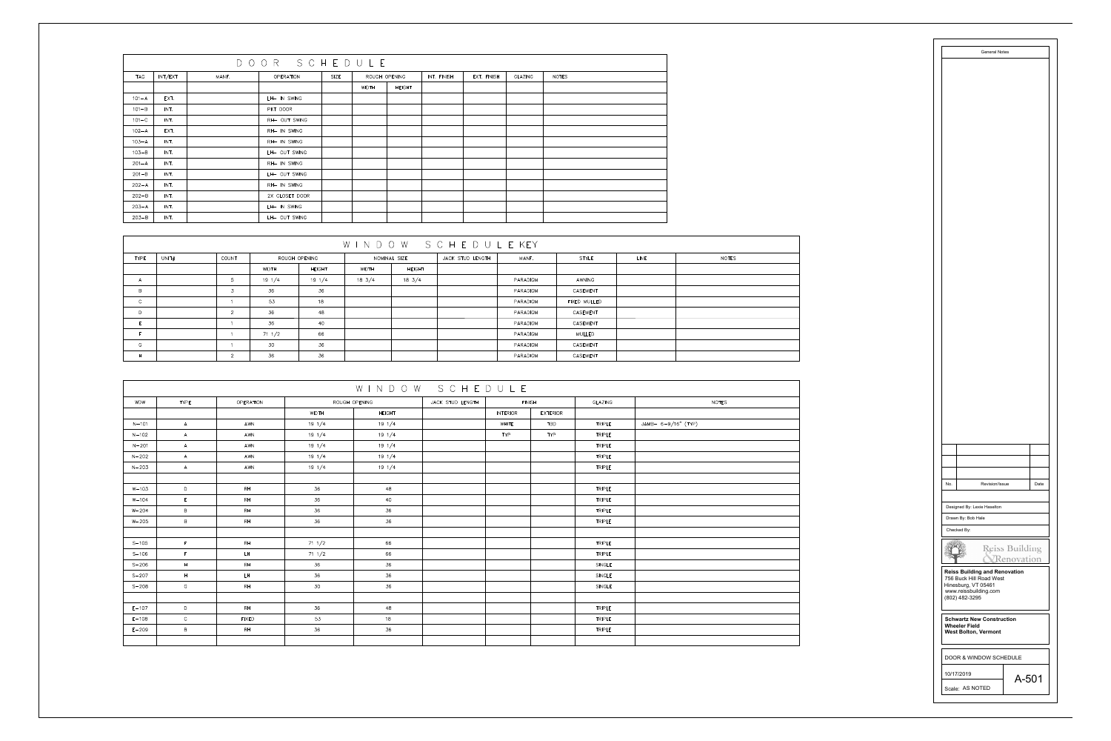|            | DOOR SCHEDULE |       |                |      |               |               |             |             |         |              |
|------------|---------------|-------|----------------|------|---------------|---------------|-------------|-------------|---------|--------------|
| <b>TAG</b> | INT/EXT       | MANF. | OPERATION      | SIZE | ROUGH OPENING |               | INT. FINISH | EXT. FINISH | GLAZING | <b>NOTES</b> |
|            |               |       |                |      | WIDTH         | <b>HEIGHT</b> |             |             |         |              |
| $101 - A$  | EXT.          |       | LH- IN SWING   |      |               |               |             |             |         |              |
| $101 - B$  | INT.          |       | PKT DOOR       |      |               |               |             |             |         |              |
| $101 - C$  | INT.          |       | RH- OUT SWING  |      |               |               |             |             |         |              |
| $102 - A$  | EXT.          |       | RH- IN SWING   |      |               |               |             |             |         |              |
| $103 - A$  | INT.          |       | RH- IN SWING   |      |               |               |             |             |         |              |
| $103 - B$  | INT.          |       | LH- OUT SWING  |      |               |               |             |             |         |              |
| $201 - A$  | INT.          |       | RH- IN SWING   |      |               |               |             |             |         |              |
| $201 - B$  | INT.          |       | LH- OUT SWING  |      |               |               |             |             |         |              |
| $202 - A$  | INT.          |       | RH- IN SWING   |      |               |               |             |             |         |              |
| $202 - B$  | INT.          |       | 2X CLOSET DOOR |      |               |               |             |             |         |              |
| $203 - A$  | INT.          |       | LH- IN SWING   |      |               |               |             |             |         |              |
| $203 - B$  | INT.          |       | LH- OUT SWING  |      |               |               |             |             |         |              |

| WINDOW SCHEDULEKEY   |                |                  |                  |                  |               |                  |          |              |      |       |
|----------------------|----------------|------------------|------------------|------------------|---------------|------------------|----------|--------------|------|-------|
| <b>TYPE</b><br>UNIT# | COUNT          |                  | ROUGH OPENING    |                  | NOMINAL SIZE  | JACK STUD LENGTH | MANF.    | STYLE        | LINE | NOTES |
|                      |                | WIDTH            | <b>HEIGHT</b>    | WIDTH            | <b>HEIGHT</b> |                  |          |              |      |       |
| $\overline{A}$       | 5 <sup>5</sup> | $19 \frac{1}{4}$ | $19 \frac{1}{4}$ | $18 \frac{3}{4}$ | $18\;\;3/4$   |                  | PARADIGM | AWNING       |      |       |
| $\overline{B}$       |                | 36               | 36               |                  |               |                  | PARADIGM | CASEMENT     |      |       |
| $\mathsf{C}$         |                | 53               | 18               |                  |               |                  | PARADIGM | FIXED MULLED |      |       |
| D                    | $\Omega$       | 36               | 48               |                  |               |                  | PARADIGM | CASEMENT     |      |       |
|                      |                | 36               | 40               |                  |               |                  | PARADIGM | CASEMENT     |      |       |
|                      |                | $71 \frac{1}{2}$ | 66               |                  |               |                  | PARADIGM | MULLED       |      |       |
| G                    |                | 30               | 36               |                  |               |                  | PARADIGM | CASEMENT     |      |       |
| H                    | $\Omega$       | 36               | 36               |                  |               |                  | PARADIGM | CASEMENT     |      |       |

|            | WINDOW SCHEDULE |              |                  |                                   |  |               |            |               |                      |  |  |
|------------|-----------------|--------------|------------------|-----------------------------------|--|---------------|------------|---------------|----------------------|--|--|
| <b>WDW</b> | <b>TYPE</b>     | OPERATION    |                  | ROUGH OPENING<br>JACK STUD LENGTH |  | <b>FINISH</b> |            | GLAZING       | <b>NOTES</b>         |  |  |
|            |                 |              | WIDTH            | <b>HEIGHT</b>                     |  | INTERIOR      | EXTERIOR   |               |                      |  |  |
| $N - 101$  | A               | AWN          | $19 \frac{1}{4}$ | $19 \frac{1}{4}$                  |  | WHITE         | <b>TBD</b> | <b>TRIPLE</b> | $JAMB-6-9/16" (TYP)$ |  |  |
| $N - 102$  | A               | AWN          | $19 \frac{1}{4}$ | $19 \frac{1}{4}$                  |  | <b>TYP</b>    | <b>TYP</b> | <b>TRIPLE</b> |                      |  |  |
| $N - 201$  | A               | AWN          | $19 \frac{1}{4}$ | $19 \frac{1}{4}$                  |  |               |            | <b>TRIPLE</b> |                      |  |  |
| $N - 202$  | A               | AWN          | $19 \frac{1}{4}$ | $19 \frac{1}{4}$                  |  |               |            | <b>TRIPLE</b> |                      |  |  |
| $N - 203$  | A               | AWN          | $19 \frac{1}{4}$ | $19 \frac{1}{4}$                  |  |               |            | <b>TRIPLE</b> |                      |  |  |
|            |                 |              |                  |                                   |  |               |            |               |                      |  |  |
| $W - 103$  | D               | RH           | 36               | 48                                |  |               |            | <b>TRIPLE</b> |                      |  |  |
| $W - 104$  | $\mathsf{E}^-$  | RH           | 36               | 40                                |  |               |            | <b>TRIPLE</b> |                      |  |  |
| $W - 204$  | B               | RH           | 36               | 36                                |  |               |            | <b>TRIPLE</b> |                      |  |  |
| $W - 205$  | $\mathsf B$     | RH           | 36               | 36                                |  |               |            | TRIPLE        |                      |  |  |
|            |                 |              |                  |                                   |  |               |            |               |                      |  |  |
| $S - 105$  | F               | RH           | $71 \frac{1}{2}$ | 66                                |  |               |            | <b>TRIPLE</b> |                      |  |  |
| $S - 106$  | $\mathsf F$     | LH           | $71 \t1/2$       | 66                                |  |               |            | <b>TRIPLE</b> |                      |  |  |
| $S - 206$  | $\mathsf{H}^-$  | RH           | 36               | 36                                |  |               |            | SINGLE        |                      |  |  |
| $S - 207$  | H               | LH           | 36               | 36                                |  |               |            | SINGLE        |                      |  |  |
| $S - 208$  | G               | RH           | 30               | 36                                |  |               |            | SINGLE        |                      |  |  |
|            |                 |              |                  |                                   |  |               |            |               |                      |  |  |
| $E - 107$  | D               | RH           | 36               | 48                                |  |               |            | <b>TRIPLE</b> |                      |  |  |
| $E - 108$  | $\mathsf{C}^-$  | <b>FIXED</b> | 53               | 18                                |  |               |            | TRIPLE        |                      |  |  |
| $E - 209$  | B               | RH           | 36               | 36                                |  |               |            | <b>TRIPLE</b> |                      |  |  |
|            |                 |              |                  |                                   |  |               |            |               |                      |  |  |

No.<br>
Revision/Issue Date<br>
Date No. Revision/Issue<br>Designed By: Lexie Haselton **Checked By:**<br> **Reiss Building and Renovation**<br> **Reiss Building and Renovation Example: The Solution Section**<br>Reiss Building and Ren<br>756 Buck Hill Road West Re<br>Reiss Building and<br>T56 Buck Hill Road V<br>Hinesburg, VT 05461 Diawit By: Bob Hale<br>Checked By:<br>Checked By:<br>Reiss Building and Re<br>756 Buck Hill Road We<br>Hinesburg, VT 05461<br>www.reissbuilding.com Reiss Building<br>T56 Buck Hill R<br>Hinesburg, VT<br>Www.reissbuild<br>(802) 482-3295 **Reiss Building and Renovat**<br>756 Buck Hill Road West<br>Hinesburg, VT 05461<br>www.reissbuilding.com<br>(802) 482-3295<br>Schwartz New Construction **Theres Bunding<br>756 Buck Hill F<br>Hinesburg, VT<br>www.reissbuild<br>(802) 482-3299<br>Schwartz Nev<br>Wheeler Field Schwartz New Construction<br>Wheeler Field<br>West Bolton, Vermont** No. Revision/Issue Dat<br>
Designed By: Lexie Haselton<br>
Drawn By: Bob Hale<br>
Checked By:<br>
Checked By:<br>
Reiss Building Reiss Building<br>
Reiss Building and Renovation<br>
Reiss Building and Renovation<br>
New Messbuilding.com<br>
(802) 48